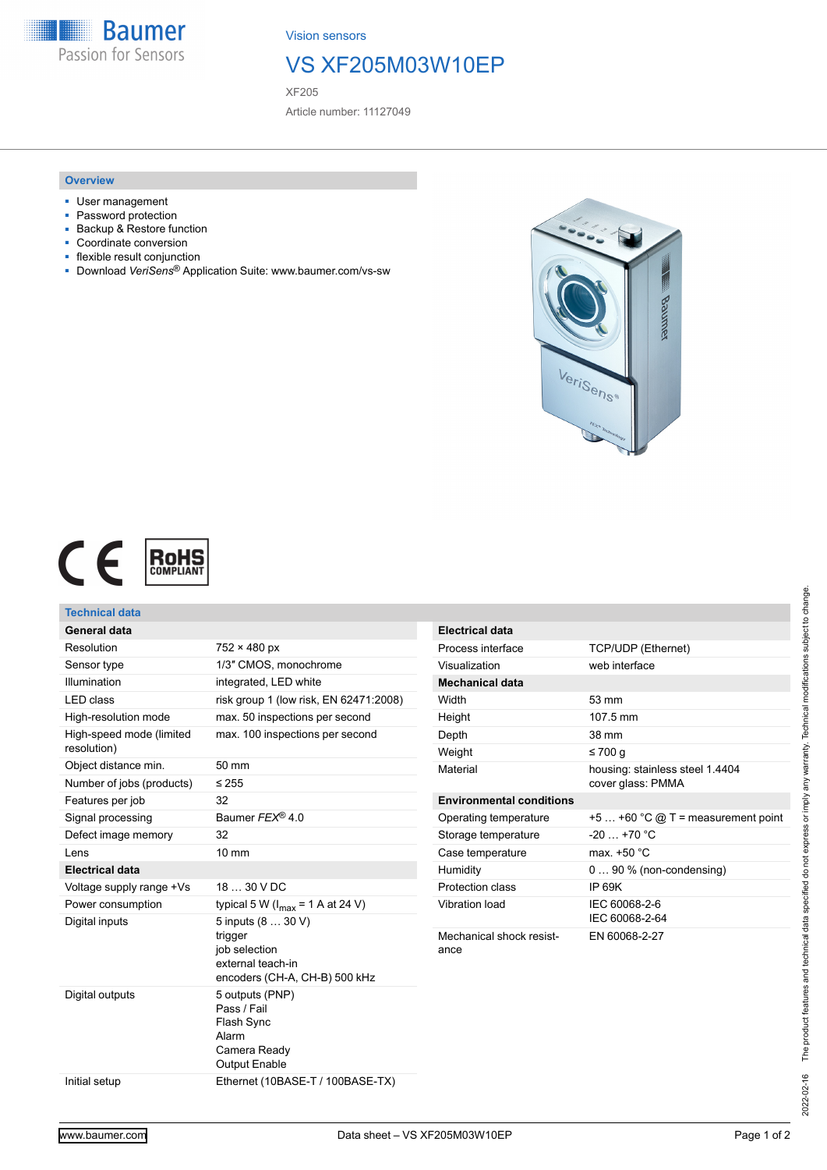

Vision sensors

## VS XF205M03W10EP

XF205

Article number: 11127049

## **Overview**

- User management
- Password protection
- Backup & Restore function
- Coordinate conversion
- flexible result conjunction
- Download *VeriSens*® Application Suite: www.baumer.com/vs-sw





| Technical data                                    |                                                                                        |                                  |                                                      |
|---------------------------------------------------|----------------------------------------------------------------------------------------|----------------------------------|------------------------------------------------------|
| General data                                      |                                                                                        | <b>Electrical data</b>           |                                                      |
| Resolution                                        | $752 \times 480$ px                                                                    | Process interface                | TCP/UDP (Ethernet)                                   |
| Sensor type                                       | 1/3" CMOS, monochrome                                                                  | Visualization                    | web interface                                        |
| Illumination                                      | integrated, LED white                                                                  | <b>Mechanical data</b>           |                                                      |
| <b>LED</b> class                                  | risk group 1 (low risk, EN 62471:2008)                                                 | Width                            | 53 mm                                                |
| High-resolution mode                              | max. 50 inspections per second                                                         | Height                           | 107.5 mm                                             |
| High-speed mode (limited<br>resolution)           | max. 100 inspections per second                                                        | Depth                            | 38 mm                                                |
|                                                   |                                                                                        | Weight                           | $\leq 700$ q                                         |
| Object distance min.<br>Number of jobs (products) | 50 mm<br>$\leq 255$                                                                    | Material                         | housing: stainless steel 1.4404<br>cover glass: PMMA |
| Features per job                                  | 32                                                                                     | <b>Environmental conditions</b>  |                                                      |
| Signal processing                                 | Baumer FEX® 4.0                                                                        | Operating temperature            | $+5+60$ °C @ T = measurement point                   |
| Defect image memory                               | 32                                                                                     | Storage temperature              | $-20$ +70 °C                                         |
| Lens                                              | $10 \text{ mm}$                                                                        | Case temperature                 | max. +50 °C                                          |
| <b>Electrical data</b>                            |                                                                                        | Humidity                         | $090\%$ (non-condensing)                             |
| Voltage supply range +Vs                          | 18  30 V DC                                                                            | Protection class                 | <b>IP 69K</b>                                        |
| Power consumption                                 | typical 5 W ( $I_{max}$ = 1 A at 24 V)                                                 | Vibration load                   | IEC 60068-2-6                                        |
| Digital inputs                                    | 5 inputs (8  30 V)                                                                     |                                  | IEC 60068-2-64                                       |
|                                                   | trigger<br>job selection<br>external teach-in<br>encoders (CH-A, CH-B) 500 kHz         | Mechanical shock resist-<br>ance | EN 60068-2-27                                        |
| Digital outputs                                   | 5 outputs (PNP)<br>Pass / Fail<br>Flash Sync<br>Alarm<br>Camera Ready<br>Output Enable |                                  |                                                      |
| Initial setup                                     | Ethernet (10BASE-T / 100BASE-TX)                                                       |                                  |                                                      |